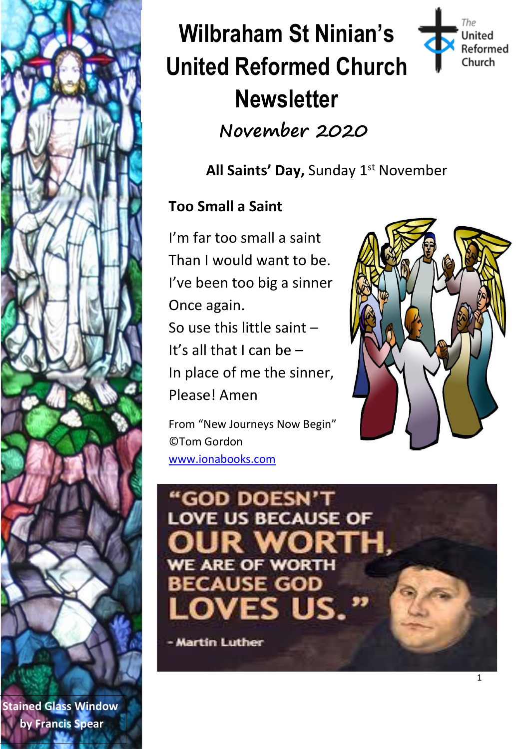

# **Wilbraham St Ninian's United Reformed Church Newsletter November 2020**



**All Saints' Day,** Sunday 1st November

#### **Too Small a Saint**

I'm far too small a saint Than I would want to be. I've been too big a sinner Once again. So use this little saint –

It's all that I can be – In place of me the sinner, Please! Amen

From "New Journeys Now Begin" ©Tom Gordon [www.ionabooks.com](http://www.ionabooks.com/)



## "GOD DOESN'T **LOVE US BECAUSE OF** JS s. ı

- Martin Luther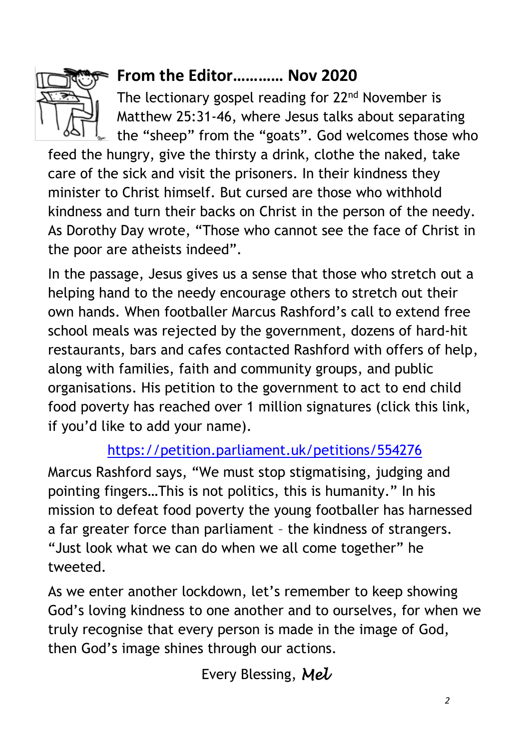

### **From the Editor………… Nov 2020**

The lectionary gospel reading for 22<sup>nd</sup> November is Matthew 25:31-46, where Jesus talks about separating the "sheep" from the "goats". God welcomes those who

feed the hungry, give the thirsty a drink, clothe the naked, take care of the sick and visit the prisoners. In their kindness they minister to Christ himself. But cursed are those who withhold kindness and turn their backs on Christ in the person of the needy. As Dorothy Day wrote, "Those who cannot see the face of Christ in the poor are atheists indeed".

In the passage, Jesus gives us a sense that those who stretch out a helping hand to the needy encourage others to stretch out their own hands. When footballer Marcus Rashford's call to extend free school meals was rejected by the government, dozens of hard-hit restaurants, bars and cafes contacted Rashford with offers of help, along with families, faith and community groups, and public organisations. His petition to the government to act to end child food poverty has reached over 1 million signatures (click this link, if you'd like to add your name).

#### <https://petition.parliament.uk/petitions/554276>

Marcus Rashford says, "We must stop stigmatising, judging and pointing fingers…This is not politics, this is humanity." In his mission to defeat food poverty the young footballer has harnessed a far greater force than parliament – the kindness of strangers. "Just look what we can do when we all come together" he tweeted.

As we enter another lockdown, let's remember to keep showing God's loving kindness to one another and to ourselves, for when we truly recognise that every person is made in the image of God, then God's image shines through our actions.

Every Blessing, *Mel*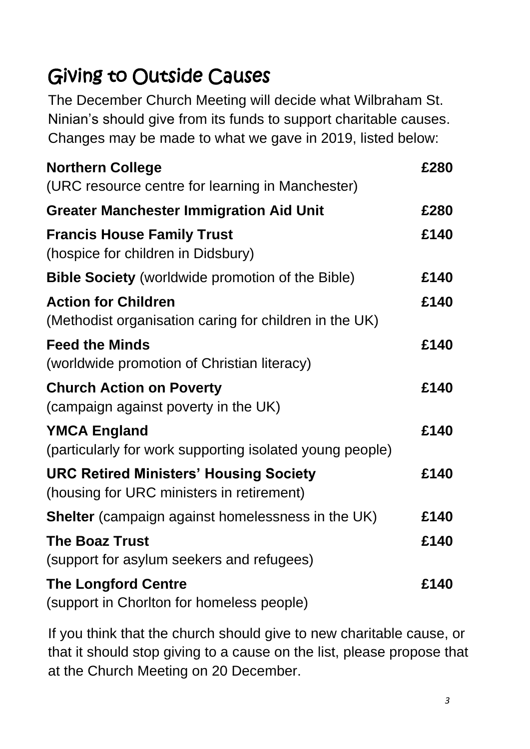### Giving to Outside Causes

The December Church Meeting will decide what Wilbraham St. Ninian's should give from its funds to support charitable causes. Changes may be made to what we gave in 2019, listed below:

| <b>Northern College</b>                                                                    | £280 |
|--------------------------------------------------------------------------------------------|------|
| (URC resource centre for learning in Manchester)                                           |      |
| <b>Greater Manchester Immigration Aid Unit</b>                                             | £280 |
| <b>Francis House Family Trust</b><br>(hospice for children in Didsbury)                    | £140 |
| <b>Bible Society</b> (worldwide promotion of the Bible)                                    | £140 |
| <b>Action for Children</b><br>(Methodist organisation caring for children in the UK)       | £140 |
| <b>Feed the Minds</b><br>(worldwide promotion of Christian literacy)                       | £140 |
| <b>Church Action on Poverty</b><br>(campaign against poverty in the UK)                    | £140 |
| <b>YMCA England</b><br>(particularly for work supporting isolated young people)            | £140 |
| <b>URC Retired Ministers' Housing Society</b><br>(housing for URC ministers in retirement) | £140 |
| <b>Shelter</b> (campaign against homelessness in the UK)                                   | £140 |
| <b>The Boaz Trust</b><br>(support for asylum seekers and refugees)                         | £140 |
| <b>The Longford Centre</b><br>(support in Chorlton for homeless people)                    | £140 |

If you think that the church should give to new charitable cause, or that it should stop giving to a cause on the list, please propose that at the Church Meeting on 20 December.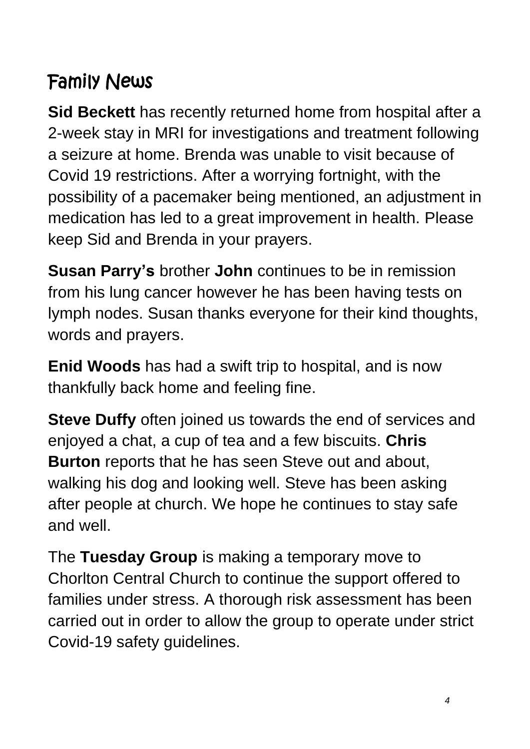### Family News

**Sid Beckett** has recently returned home from hospital after a 2-week stay in MRI for investigations and treatment following a seizure at home. Brenda was unable to visit because of Covid 19 restrictions. After a worrying fortnight, with the possibility of a pacemaker being mentioned, an adjustment in medication has led to a great improvement in health. Please keep Sid and Brenda in your prayers.

**Susan Parry's** brother **John** continues to be in remission from his lung cancer however he has been having tests on lymph nodes. Susan thanks everyone for their kind thoughts, words and prayers.

**Enid Woods** has had a swift trip to hospital, and is now thankfully back home and feeling fine.

**Steve Duffy** often joined us towards the end of services and enjoyed a chat, a cup of tea and a few biscuits. **Chris Burton** reports that he has seen Steve out and about, walking his dog and looking well. Steve has been asking after people at church. We hope he continues to stay safe and well.

The **Tuesday Group** is making a temporary move to Chorlton Central Church to continue the support offered to families under stress. A thorough risk assessment has been carried out in order to allow the group to operate under strict Covid-19 safety guidelines.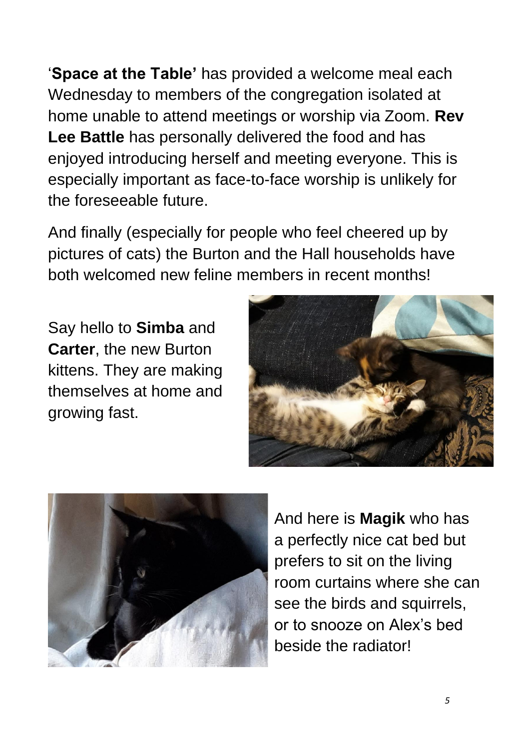'**Space at the Table'** has provided a welcome meal each Wednesday to members of the congregation isolated at home unable to attend meetings or worship via Zoom. **Rev Lee Battle** has personally delivered the food and has enjoyed introducing herself and meeting everyone. This is especially important as face-to-face worship is unlikely for the foreseeable future.

And finally (especially for people who feel cheered up by pictures of cats) the Burton and the Hall households have both welcomed new feline members in recent months!

Say hello to **Simba** and **Carter**, the new Burton kittens. They are making themselves at home and growing fast.





And here is **Magik** who has a perfectly nice cat bed but prefers to sit on the living room curtains where she can see the birds and squirrels, or to snooze on Alex's bed beside the radiator!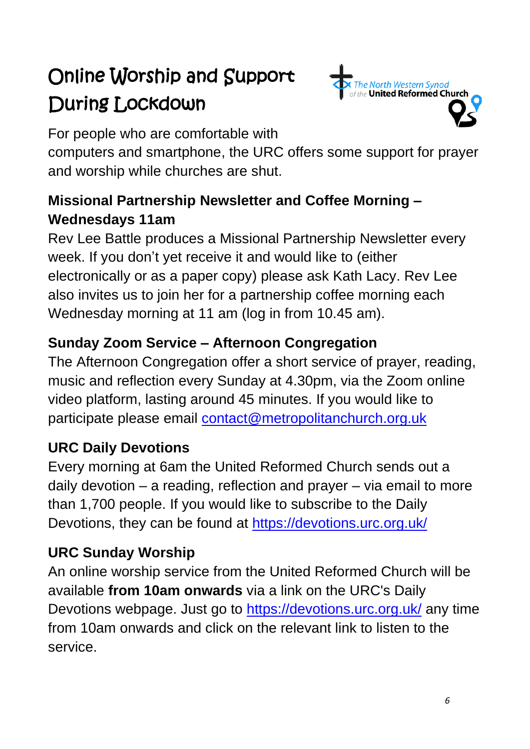### Online Worship and Support During Lockdown



For people who are comfortable with

computers and smartphone, the URC offers some support for prayer and worship while churches are shut.

### **Missional Partnership Newsletter and Coffee Morning – Wednesdays 11am**

Rev Lee Battle produces a Missional Partnership Newsletter every week. If you don't yet receive it and would like to (either electronically or as a paper copy) please ask Kath Lacy. Rev Lee also invites us to join her for a partnership coffee morning each Wednesday morning at 11 am (log in from 10.45 am).

### **Sunday Zoom Service – Afternoon Congregation**

The Afternoon Congregation offer a short service of prayer, reading, music and reflection every Sunday at 4.30pm, via the Zoom online video platform, lasting around 45 minutes. If you would like to participate please email [contact@metropolitanchurch.org.uk](mailto:contact@metropolitanchurch.org.uk)

#### **URC Daily Devotions**

Every morning at 6am the United Reformed Church sends out a daily devotion – a reading, reflection and prayer – via email to more than 1,700 people. If you would like to subscribe to the Daily Devotions, they can be found at<https://devotions.urc.org.uk/>

### **URC Sunday Worship**

An online worship service from the United Reformed Church will be available **from 10am onwards** via a link on the URC's Daily Devotions webpage. Just go to [https://devotions.urc.org.uk/](https://metropolitanchurch.us2.list-manage.com/track/click?u=3546eacfecb20036d5679ebcc&id=97e247ec4b&e=1fc34072b3) any time from 10am onwards and click on the relevant link to listen to the service.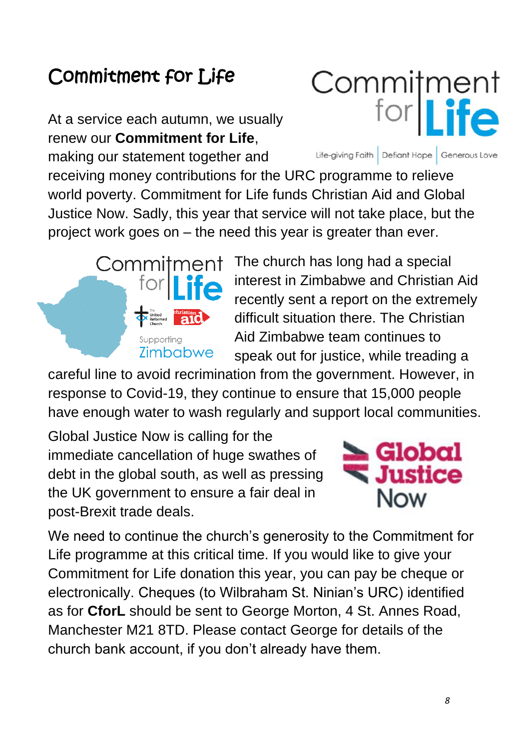### Commitment for Life

At a service each autumn, we usually renew our **Commitment for Life**,

making our statement together and

receiving money contributions for the URC programme to relieve world poverty. Commitment for Life funds Christian Aid and Global Justice Now. Sadly, this year that service will not take place, but the project work goes on – the need this year is greater than ever.

> The church has long had a special interest in Zimbabwe and Christian Aid recently sent a report on the extremely difficult situation there. The Christian Aid Zimbabwe team continues to speak out for justice, while treading a

careful line to avoid recrimination from the government. However, in response to Covid-19, they continue to ensure that 15,000 people have enough water to wash regularly and support local communities.

Global Justice Now is calling for the immediate cancellation of huge swathes of debt in the global south, as well as pressing the UK government to ensure a fair deal in post-Brexit trade deals.



We need to continue the church's generosity to the Commitment for Life programme at this critical time. If you would like to give your Commitment for Life donation this year, you can pay be cheque or electronically. Cheques (to Wilbraham St. Ninian's URC) identified as for **CforL** should be sent to George Morton, 4 St. Annes Road, Manchester M21 8TD. Please contact George for details of the church bank account, if you don't already have them.





Life-giving Faith Defiant Hope Generous Love